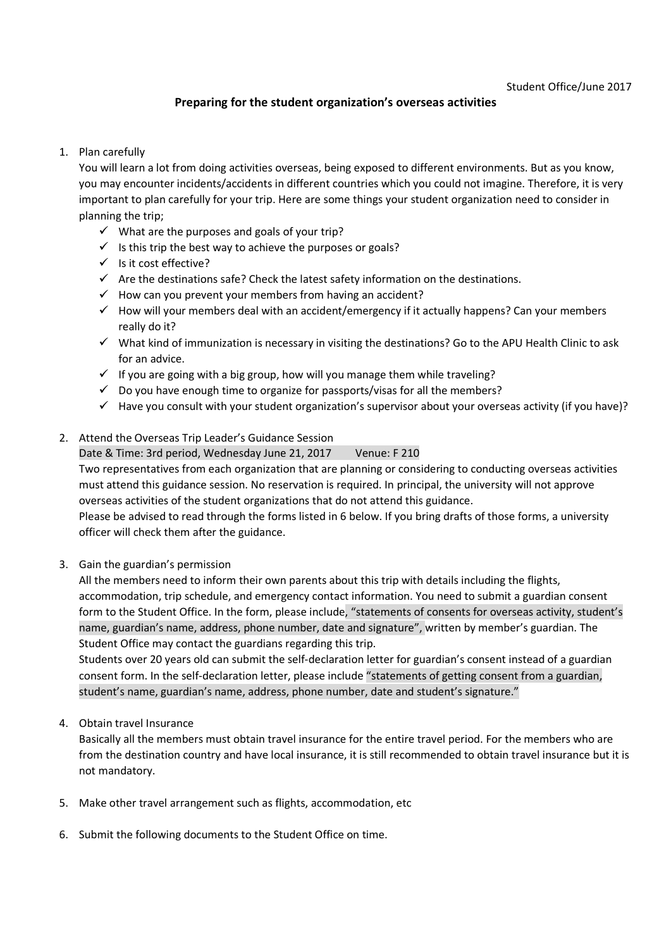# **Preparing for the student organization's overseas activities**

### 1. Plan carefully

You will learn a lot from doing activities overseas, being exposed to different environments. But as you know, you may encounter incidents/accidents in different countries which you could not imagine. Therefore, it is very important to plan carefully for your trip. Here are some things your student organization need to consider in planning the trip;

- $\checkmark$  What are the purposes and goals of your trip?
- $\checkmark$  Is this trip the best way to achieve the purposes or goals?
- $\checkmark$  Is it cost effective?
- $\checkmark$  Are the destinations safe? Check the latest safety information on the destinations.
- $\checkmark$  How can you prevent your members from having an accident?
- $\checkmark$  How will your members deal with an accident/emergency if it actually happens? Can your members really do it?
- $\checkmark$  What kind of immunization is necessary in visiting the destinations? Go to the APU Health Clinic to ask for an advice.
- $\checkmark$  If you are going with a big group, how will you manage them while traveling?
- $\checkmark$  Do you have enough time to organize for passports/visas for all the members?
- $\checkmark$  Have you consult with your student organization's supervisor about your overseas activity (if you have)?

## 2. Attend the Overseas Trip Leader's Guidance Session

Date & Time: 3rd period, Wednesday June 21, 2017 Venue: F 210 Two representatives from each organization that are planning or considering to conducting overseas activities must attend this guidance session. No reservation is required. In principal, the university will not approve overseas activities of the student organizations that do not attend this guidance.

Please be advised to read through the forms listed in 6 below. If you bring drafts of those forms, a university officer will check them after the guidance.

3. Gain the guardian's permission

All the members need to inform their own parents about this trip with details including the flights, accommodation, trip schedule, and emergency contact information. You need to submit a guardian consent form to the Student Office. In the form, please include, "statements of consents for overseas activity, student's name, guardian's name, address, phone number, date and signature", written by member's guardian. The Student Office may contact the guardians regarding this trip.

Students over 20 years old can submit the self-declaration letter for guardian's consent instead of a guardian consent form. In the self-declaration letter, please include "statements of getting consent from a guardian, student's name, guardian's name, address, phone number, date and student's signature."

### 4. Obtain travel Insurance

Basically all the members must obtain travel insurance for the entire travel period. For the members who are from the destination country and have local insurance, it is still recommended to obtain travel insurance but it is not mandatory.

- 5. Make other travel arrangement such as flights, accommodation, etc
- 6. Submit the following documents to the Student Office on time.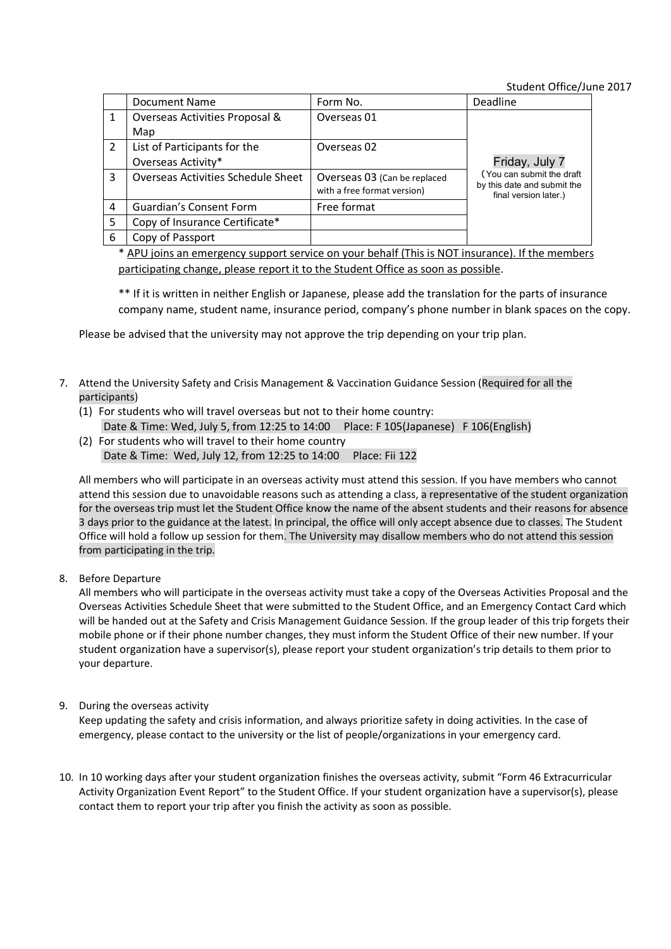Student Office/June 2017

| Friday, July 7                                                                    |
|-----------------------------------------------------------------------------------|
| (You can submit the draft<br>by this date and submit the<br>final version later.) |
|                                                                                   |
|                                                                                   |
|                                                                                   |
|                                                                                   |

\* APU joins an emergency support service on your behalf (This is NOT insurance). If the members participating change, please report it to the Student Office as soon as possible.

\*\* If it is written in neither English or Japanese, please add the translation for the parts of insurance company name, student name, insurance period, company's phone number in blank spaces on the copy.

Please be advised that the university may not approve the trip depending on your trip plan.

- 7. Attend the University Safety and Crisis Management & Vaccination Guidance Session (Required for all the participants)
	- (1) For students who will travel overseas but not to their home country: Date & Time: Wed, July 5, from 12:25 to 14:00 Place: F 105(Japanese) F 106(English)
	- (2) For students who will travel to their home country Date & Time: Wed, July 12, from 12:25 to 14:00 Place: Fii 122

All members who will participate in an overseas activity must attend this session. If you have members who cannot attend this session due to unavoidable reasons such as attending a class, a representative of the student organization for the overseas trip must let the Student Office know the name of the absent students and their reasons for absence 3 days prior to the guidance at the latest. In principal, the office will only accept absence due to classes. The Student Office will hold a follow up session for them. The University may disallow members who do not attend this session from participating in the trip.

8. Before Departure

All members who will participate in the overseas activity must take a copy of the Overseas Activities Proposal and the Overseas Activities Schedule Sheet that were submitted to the Student Office, and an Emergency Contact Card which will be handed out at the Safety and Crisis Management Guidance Session. If the group leader of this trip forgets their mobile phone or if their phone number changes, they must inform the Student Office of their new number. If your student organization have a supervisor(s), please report your student organization's trip details to them prior to your departure.

9. During the overseas activity

Keep updating the safety and crisis information, and always prioritize safety in doing activities. In the case of emergency, please contact to the university or the list of people/organizations in your emergency card.

10. In 10 working days after your student organization finishes the overseas activity, submit "Form 46 Extracurricular Activity Organization Event Report" to the Student Office. If your student organization have a supervisor(s), please contact them to report your trip after you finish the activity as soon as possible.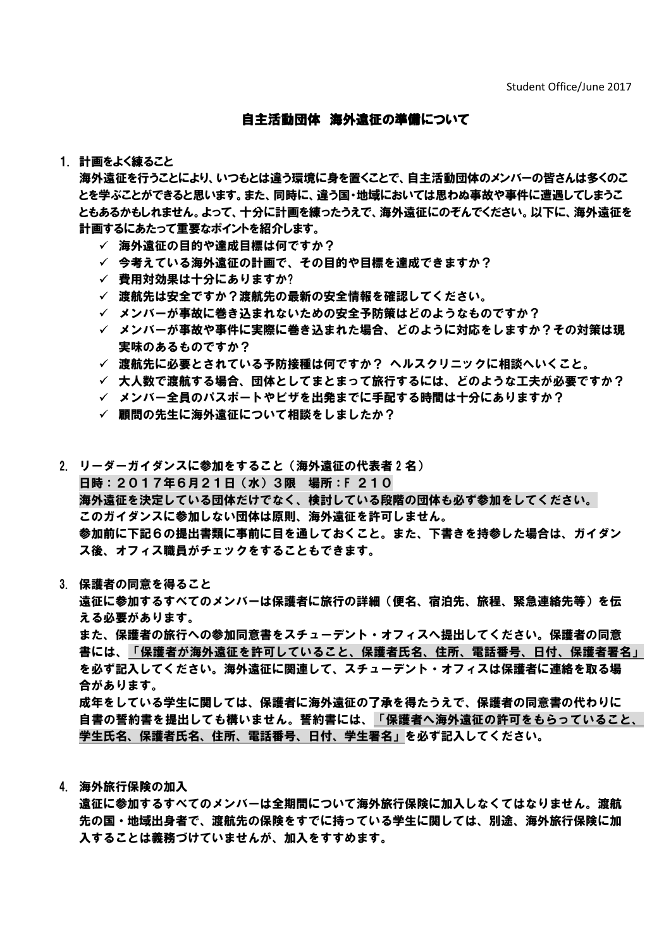## 自主活動団体 海外遠征の準備について

#### 1. 計画をよく練ること

海外遠征を行うことにより、いつもとは違う環境に身を置くことで、自主活動団体のメンバーの皆さんは多くのこ とを学ぶことができると思います。また、同時に、違う国・地域においては思わぬ事故や事件に遭遇してしまうこ ともあるかもしれません。よって、十分に計画を練ったうえで、海外遠征にのぞんでください。以下に、海外遠征を 計画するにあたって重要なポイントを紹介します。

- ✓ 海外遠征の目的や達成目標は何ですか?
- ✓ 今考えている海外遠征の計画で、その目的や目標を達成できますか?
- ✓ 費用対効果は十分にありますか?
- 渡航先は安全ですか?渡航先の最新の安全情報を確認してください。
- メンバーが事故に巻き込まれないための安全予防策はどのようなものですか?
- メンバーが事故や事件に実際に巻き込まれた場合、どのように対応をしますか?その対策は現 実味のあるものですか?
- 渡航先に必要とされている予防接種は何ですか? ヘルスクリニックに相談へいくこと。
- ✓ 大人数で渡航する場合、団体としてまとまって旅行するには、どのような工夫が必要ですか?
- メンバー全員のパスポートやビザを出発までに手配する時間は十分にありますか?
- ✓ 顧問の先生に海外遠征について相談をしましたか?

2. リーダーガイダンスに参加をすること(海外遠征の代表者2名) 日時:2017年6月21日(水)3限 場所:F 210 海外遠征を決定している団体だけでなく、検討している段階の団体も必ず参加をしてください。 このガイダンスに参加しない団体は原則、海外遠征を許可しません。 参加前に下記6の提出書類に事前に目を通しておくこと。また、下書きを持参した場合は、ガイダン ス後、オフィス職員がチェックをすることもできます。

#### 3. 保護者の同意を得ること

遠征に参加するすべてのメンバーは保護者に旅行の詳細(便名、宿泊先、旅程、緊急連絡先等)を伝 える必要があります。

また、保護者の旅行への参加同意書をスチューデント・オフィスへ提出してください。保護者の同意 書には、「保護者が海外遠征を許可していること、保護者氏名、住所、電話番号、日付、保護者署名」 を必ず記入してください。海外遠征に関連して、スチューデント・オフィスは保護者に連絡を取る場 合があります。 成年をしている学生に関しては、保護者に海外遠征の了承を得たうえで、保護者の同意書の代わりに

自書の誓約書を提出しても構いません。誓約書には、「保護者へ海外遠征の許可をもらっていること、 学生氏名、保護者氏名、住所、電話番号、日付、学生署名」を必ず記入してください。

4. 海外旅行保険の加入

遠征に参加するすべてのメンバーは全期間について海外旅行保険に加入しなくてはなりません。渡航 先の国・地域出身者で、渡航先の保険をすでに持っている学生に関しては、別途、海外旅行保険に加 入することは義務づけていませんが、加入をすすめます。